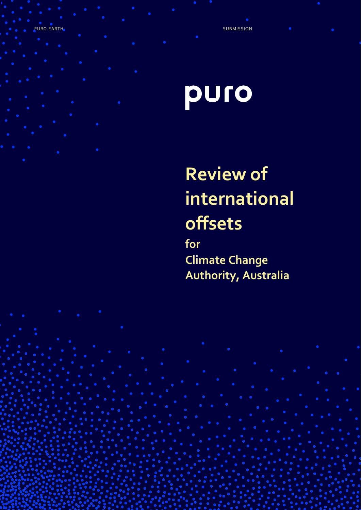PURO.EARTH SUBMISSION AND A RESERVE TO A RESERVE THAT A RESERVE TO A RESERVE THAT A RESERVE TO A RESERVE THAT A

# puro

## **Review of international offsets**

**for Climate Change Authority, Australia**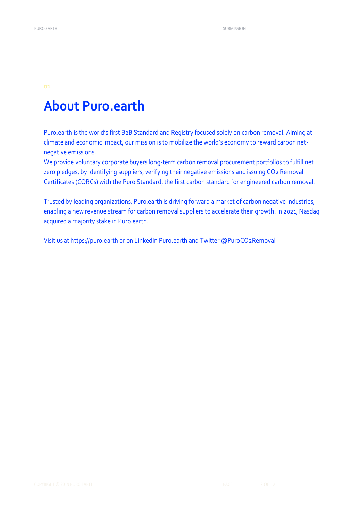## **About Puro.earth**

Puro.earth is the world's first B2B Standard and Registry focused solely on carbon removal. Aiming at climate and economic impact, our mission is to mobilize the world's economy to reward carbon netnegative emissions.

We provide voluntary corporate buyers long-term carbon removal procurement portfolios to fulfill net zero pledges, by identifying suppliers, verifying their negative emissions and issuing CO2 Removal Certificates (CORCs) with the Puro Standard, the first carbon standard for engineered carbon removal.

Trusted by leading organizations, Puro.earth is driving forward a market of carbon negative industries, enabling a new revenue stream for carbon removal suppliers to accelerate their growth. In 2021, Nasdaq acquired a majority stake in Puro.earth.

Visit us at https://puro.earth or on LinkedIn Puro.earth and Twitter @PuroCO2Removal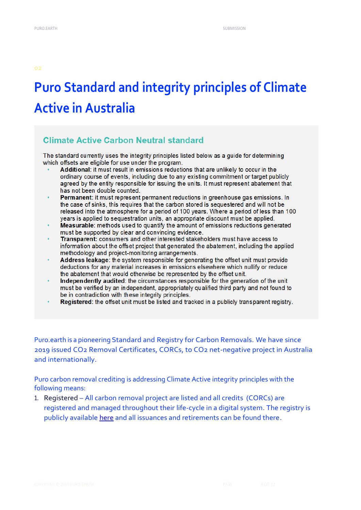## **Puro Standard and integrity principles of Climate Active in Australia**

### **Climate Active Carbon Neutral standard**

The standard currently uses the integrity principles listed below as a guide for determining which offsets are eligible for use under the program.

- Additional: it must result in emissions reductions that are unlikely to occur in the ordinary course of events, including due to any existing commitment or target publicly agreed by the entity responsible for issuing the units. It must represent abatement that has not been double counted.
- Permanent: it must represent permanent reductions in greenhouse gas emissions. In the case of sinks, this requires that the carbon stored is sequestered and will not be released into the atmosphere for a period of 100 years. Where a period of less than 100 years is applied to sequestration units, an appropriate discount must be applied.
- Measurable: methods used to quantify the amount of emissions reductions generated must be supported by clear and convincing evidence.
- Transparent: consumers and other interested stakeholders must have access to information about the offset project that generated the abatement, including the applied methodology and project-monitoring arrangements.
- Address leakage: the system responsible for generating the offset unit must provide deductions for any material increases in emissions elsewhere which nullify or reduce the abatement that would otherwise be represented by the offset unit.
- Independently audited: the circumstances responsible for the generation of the unit must be verified by an independent, appropriately qualified third party and not found to be in contradiction with these integrity principles.
- Registered: the offset unit must be listed and tracked in a publicly transparent registry.

Puro.earth is a pioneering Standard and Registry for Carbon Removals. We have since 2019 issued CO2 Removal Certificates, CORCs, to CO2 net-negative project in Australia and internationally.

Puro carbon removal crediting is addressing Climate Active integrity principles with the following means:

1. Registered – All carbon removal project are listed and all credits (CORCs) are registered and managed throughout their life-cycle in a digital system. The registry is publicly available [here](https://registry.puro.earth/carbon-sequestration) and all issuances and retirements can be found there.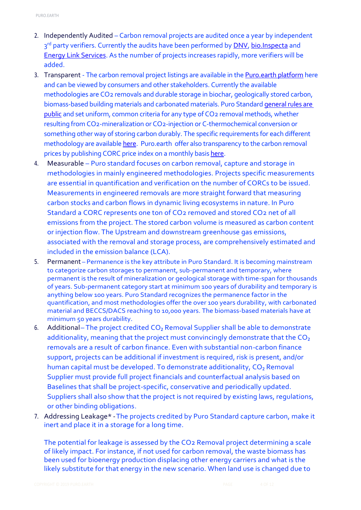- 2. Independently Audited Carbon removal projects are audited once a year by independent 3<sup>rd</sup> party verifiers. Currently the audits have been performed by <u>DNV, [bio.Inspecta](https://www.bio-inspecta.ch/en/home)</u> and [Energy Link Services.](https://www.energylinkservices.com.au/climate-active) As the number of projects increases rapidly, more verifiers will be added.
- 3. Transparent The carbon removal project listings are available in th[e Puro.earth platform](https://puro.earth/CORC-co2-removal-certificate/) here and can be viewed by consumers and other stakeholders. Currently the available methodologies are CO2 removals and durable storage in biochar, geologically stored carbon, biomass-based building materials and carbonated materials. Puro Standar[d general rules are](https://puro.earth/supplier-verification/)  [public](https://puro.earth/supplier-verification/) and set uniform, common criteria for any type of CO2 removal methods, whether resulting from CO2-mineralization or CO2-injection or C-thermochemical conversion or something other way of storing carbon durably. The specific requirements for each different methodology are availabl[e here.](https://puro.earth/carbon-removal-methods/) Puro.earth offer also transparency to the carbon removal prices by publishing CORC price index on a monthly basi[s here.](https://puro.earth/carbon-price/)
- 4. Measurable Puro standard focuses on carbon removal, capture and storage in methodologies in mainly engineered methodologies. Projects specific measurements are essential in quantification and verification on the number of CORCs to be issued. Measurements in engineered removals are more straight forward that measuring carbon stocks and carbon flows in dynamic living ecosystems in nature. In Puro Standard a CORC represents one ton of CO2 removed and stored CO2 net of all emissions from the project. The stored carbon volume is measured as carbon content or injection flow. The Upstream and downstream greenhouse gas emissions, associated with the removal and storage process, are comprehensively estimated and included in the emission balance (LCA).
- 5. Permanent Permanence is the key attribute in Puro Standard. It is becoming mainstream to categorize carbon storages to permanent, sub-permanent and temporary, where permanent is the result of mineralization or geological storage with time-span for thousands of years. Sub-permanent category start at minimum 100 years of durability and temporary is anything below 100 years. Puro Standard recognizes the permanence factor in the quantification, and most methodologies offer the over 100 years durability, with carbonated material and BECCS/DACS reaching to 10,000 years. The biomass-based materials have at minimum 50 years durability.
- 6. Additional– The project credited CO<sub>2</sub> Removal Supplier shall be able to demonstrate additionality, meaning that the project must convincingly demonstrate that the  $CO<sub>2</sub>$ removals are a result of carbon finance. Even with substantial non-carbon finance support, projects can be additional if investment is required, risk is present, and/or human capital must be developed. To demonstrate additionality, CO<sub>2</sub> Removal Supplier must provide full project financials and counterfactual analysis based on Baselines that shall be project-specific, conservative and periodically updated. Suppliers shall also show that the project is not required by existing laws, regulations, or other binding obligations.
- 7. Addressing Leakage\* -The projects credited by Puro Standard capture carbon, make it inert and place it in a storage for a long time.

The potential for leakage is assessed by the CO2 Removal project determining a scale of likely impact. For instance, if not used for carbon removal, the waste biomass has been used for bioenergy production displacing other energy carriers and what is the likely substitute for that energy in the new scenario. When land use is changed due to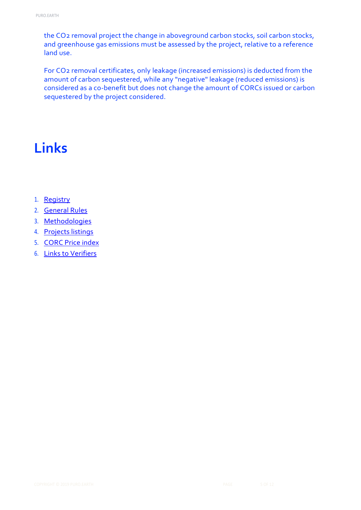the CO2 removal project the change in aboveground carbon stocks, soil carbon stocks, and greenhouse gas emissions must be assessed by the project, relative to a reference land use.

For CO2 removal certificates, only leakage (increased emissions) is deducted from the amount of carbon sequestered, while any "negative" leakage (reduced emissions) is considered as a co-benefit but does not change the amount of CORCs issued or carbon sequestered by the project considered.

## **Links**

- 1. [Registry](https://registry.puro.earth/carbon-sequestration)
- 2. [General Rules](https://connect.puro.earth/puro.earth.marketplace.rules)
- 3. [Methodologies](https://puro.earth/carbon-removal-methods/)
- 4. [Projects listings](https://puro.earth/CORC-co2-removal-certificate/)
- 5. [CORC Price index](https://puro.earth/carbon-removal-index-price/)
- 6. [Links to Verifiers](https://puro.earth/supplier-verification/)